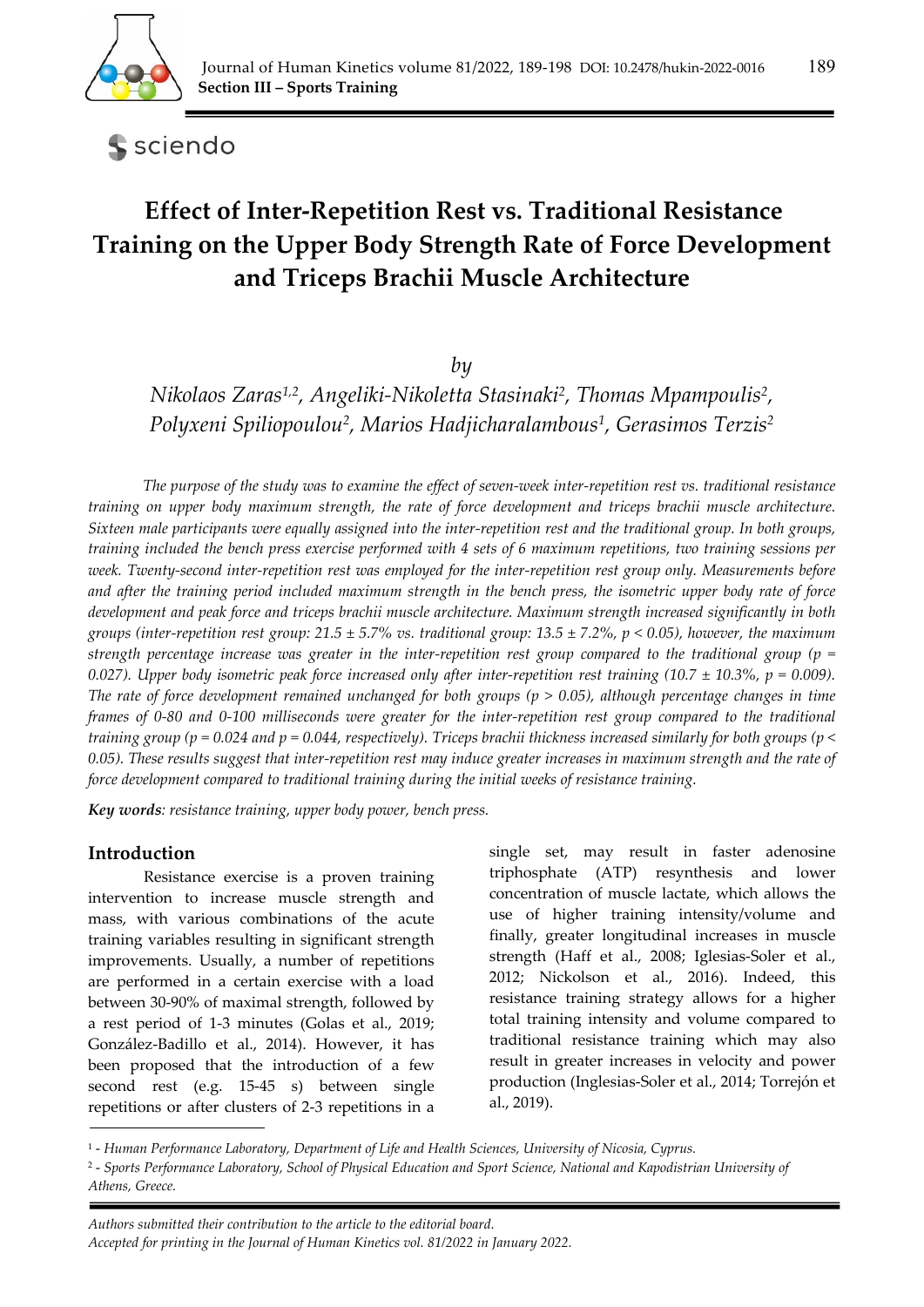

sciendo

# **Effect of Inter-Repetition Rest vs. Traditional Resistance Training on the Upper Body Strength Rate of Force Development and Triceps Brachii Muscle Architecture**

*by* 

*Nikolaos Zaras1,2, Angeliki-Nikoletta Stasinaki2, Thomas Mpampoulis2, Polyxeni Spiliopoulou2, Marios Hadjicharalambous1, Gerasimos Terzis2*

*The purpose of the study was to examine the effect of seven-week inter-repetition rest vs. traditional resistance training on upper body maximum strength, the rate of force development and triceps brachii muscle architecture. Sixteen male participants were equally assigned into the inter-repetition rest and the traditional group. In both groups, training included the bench press exercise performed with 4 sets of 6 maximum repetitions, two training sessions per week. Twenty-second inter-repetition rest was employed for the inter-repetition rest group only. Measurements before and after the training period included maximum strength in the bench press, the isometric upper body rate of force development and peak force and triceps brachii muscle architecture. Maximum strength increased significantly in both groups (inter-repetition rest group: 21.5 ± 5.7% vs. traditional group: 13.5 ± 7.2%, p < 0.05), however, the maximum strength percentage increase was greater in the inter-repetition rest group compared to the traditional group (p =*  0.027). Upper body isometric peak force increased only after inter-repetition rest training (10.7  $\pm$  10.3%, p = 0.009). *The rate of force development remained unchanged for both groups (p > 0.05), although percentage changes in time frames of 0-80 and 0-100 milliseconds were greater for the inter-repetition rest group compared to the traditional training group (p = 0.024 and p = 0.044, respectively). Triceps brachii thickness increased similarly for both groups (p < 0.05). These results suggest that inter-repetition rest may induce greater increases in maximum strength and the rate of force development compared to traditional training during the initial weeks of resistance training.* 

*Key words: resistance training, upper body power, bench press.* 

#### **Introduction**

Resistance exercise is a proven training intervention to increase muscle strength and mass, with various combinations of the acute training variables resulting in significant strength improvements. Usually, a number of repetitions are performed in a certain exercise with a load between 30-90% of maximal strength, followed by a rest period of 1-3 minutes (Golas et al., 2019; González-Badillo et al., 2014). However, it has been proposed that the introduction of a few second rest (e.g. 15-45 s) between single repetitions or after clusters of 2-3 repetitions in a

single set, may result in faster adenosine triphosphate (ATP) resynthesis and lower concentration of muscle lactate, which allows the use of higher training intensity/volume and finally, greater longitudinal increases in muscle strength (Haff et al., 2008; Iglesias-Soler et al., 2012; Nickolson et al., 2016). Indeed, this resistance training strategy allows for a higher total training intensity and volume compared to traditional resistance training which may also result in greater increases in velocity and power production (Inglesias-Soler et al., 2014; Torrejón et al., 2019).

<sup>1 -</sup> *Human Performance Laboratory, Department of Life and Health Sciences, University of Nicosia, Cyprus.* 

<sup>2 -</sup> *Sports Performance Laboratory, School of Physical Education and Sport Science, National and Kapodistrian University of Athens, Greece.*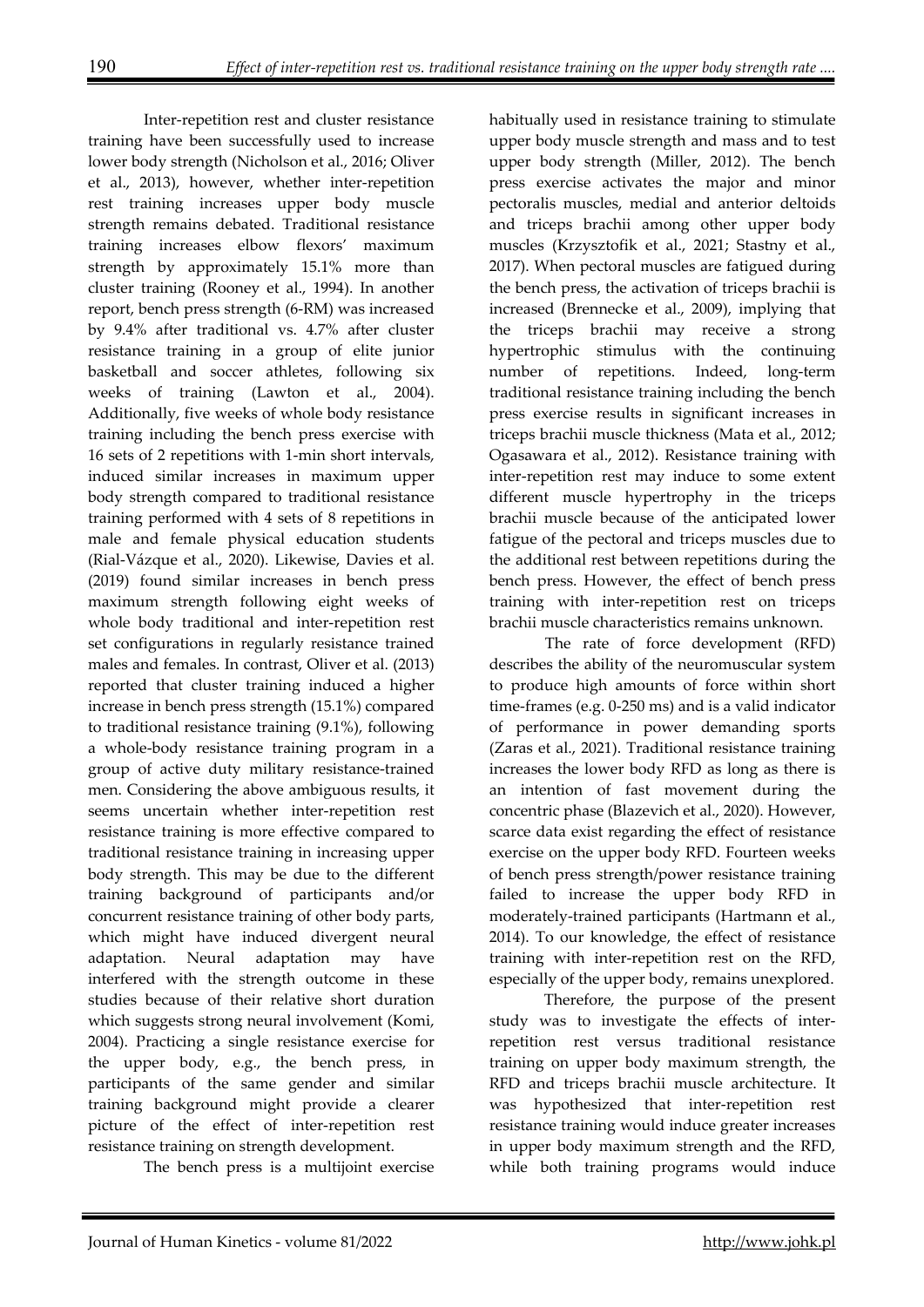Inter-repetition rest and cluster resistance training have been successfully used to increase lower body strength (Nicholson et al., 2016; Oliver et al., 2013), however, whether inter-repetition rest training increases upper body muscle strength remains debated. Traditional resistance training increases elbow flexors' maximum strength by approximately 15.1% more than cluster training (Rooney et al., 1994). In another report, bench press strength (6-RM) was increased by 9.4% after traditional vs. 4.7% after cluster resistance training in a group of elite junior basketball and soccer athletes, following six weeks of training (Lawton et al., 2004). Additionally, five weeks of whole body resistance training including the bench press exercise with 16 sets of 2 repetitions with 1-min short intervals, induced similar increases in maximum upper body strength compared to traditional resistance training performed with 4 sets of 8 repetitions in male and female physical education students (Rial-Vázque et al., 2020). Likewise, Davies et al. (2019) found similar increases in bench press maximum strength following eight weeks of whole body traditional and inter-repetition rest set configurations in regularly resistance trained males and females. In contrast, Oliver et al. (2013) reported that cluster training induced a higher increase in bench press strength (15.1%) compared to traditional resistance training (9.1%), following a whole-body resistance training program in a group of active duty military resistance-trained men. Considering the above ambiguous results, it seems uncertain whether inter-repetition rest resistance training is more effective compared to traditional resistance training in increasing upper body strength. This may be due to the different training background of participants and/or concurrent resistance training of other body parts, which might have induced divergent neural adaptation. Neural adaptation may have interfered with the strength outcome in these studies because of their relative short duration which suggests strong neural involvement (Komi, 2004). Practicing a single resistance exercise for the upper body, e.g., the bench press, in participants of the same gender and similar training background might provide a clearer picture of the effect of inter-repetition rest resistance training on strength development.

The bench press is a multijoint exercise

habitually used in resistance training to stimulate upper body muscle strength and mass and to test upper body strength (Miller, 2012). The bench press exercise activates the major and minor pectoralis muscles, medial and anterior deltoids and triceps brachii among other upper body muscles (Krzysztofik et al., 2021; Stastny et al., 2017). When pectoral muscles are fatigued during the bench press, the activation of triceps brachii is increased (Brennecke et al., 2009), implying that the triceps brachii may receive a strong hypertrophic stimulus with the continuing number of repetitions. Indeed, long-term traditional resistance training including the bench press exercise results in significant increases in triceps brachii muscle thickness (Mata et al., 2012; Ogasawara et al., 2012). Resistance training with inter-repetition rest may induce to some extent different muscle hypertrophy in the triceps brachii muscle because of the anticipated lower fatigue of the pectoral and triceps muscles due to the additional rest between repetitions during the bench press. However, the effect of bench press training with inter-repetition rest on triceps brachii muscle characteristics remains unknown.

The rate of force development (RFD) describes the ability of the neuromuscular system to produce high amounts of force within short time-frames (e.g. 0-250 ms) and is a valid indicator of performance in power demanding sports (Zaras et al., 2021). Traditional resistance training increases the lower body RFD as long as there is an intention of fast movement during the concentric phase (Blazevich et al., 2020). However, scarce data exist regarding the effect of resistance exercise on the upper body RFD. Fourteen weeks of bench press strength/power resistance training failed to increase the upper body RFD in moderately-trained participants (Hartmann et al., 2014). To our knowledge, the effect of resistance training with inter-repetition rest on the RFD, especially of the upper body, remains unexplored.

 Therefore, the purpose of the present study was to investigate the effects of interrepetition rest versus traditional resistance training on upper body maximum strength, the RFD and triceps brachii muscle architecture. It was hypothesized that inter-repetition rest resistance training would induce greater increases in upper body maximum strength and the RFD, while both training programs would induce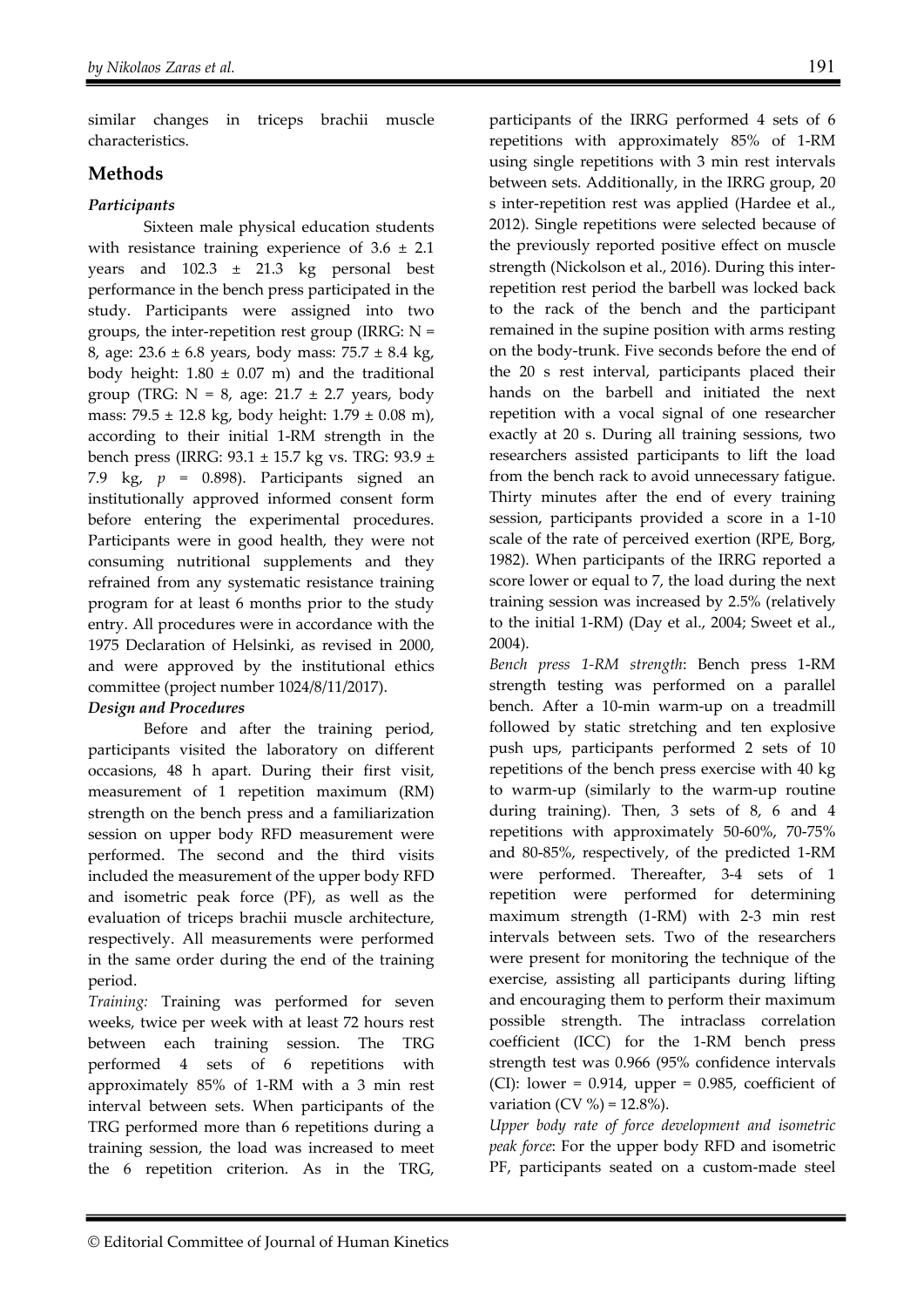similar changes in triceps brachii muscle characteristics.

# **Methods**

## *Participants*

Sixteen male physical education students with resistance training experience of  $3.6 \pm 2.1$ years and 102.3 ± 21.3 kg personal best performance in the bench press participated in the study. Participants were assigned into two groups, the inter-repetition rest group (IRRG:  $N =$ 8, age:  $23.6 \pm 6.8$  years, body mass:  $75.7 \pm 8.4$  kg, body height:  $1.80 \pm 0.07$  m) and the traditional group (TRG:  $N = 8$ , age: 21.7  $\pm$  2.7 years, body mass: 79.5 ± 12.8 kg, body height: 1.79 ± 0.08 m), according to their initial 1-RM strength in the bench press (IRRG: 93.1 ± 15.7 kg vs. TRG: 93.9 ± 7.9 kg, *p* = 0.898). Participants signed an institutionally approved informed consent form before entering the experimental procedures. Participants were in good health, they were not consuming nutritional supplements and they refrained from any systematic resistance training program for at least 6 months prior to the study entry. All procedures were in accordance with the 1975 Declaration of Helsinki, as revised in 2000, and were approved by the institutional ethics committee (project number 1024/8/11/2017).

#### *Design and Procedures*

Before and after the training period, participants visited the laboratory on different occasions, 48 h apart. During their first visit, measurement of 1 repetition maximum (RM) strength on the bench press and a familiarization session on upper body RFD measurement were performed. The second and the third visits included the measurement of the upper body RFD and isometric peak force (PF), as well as the evaluation of triceps brachii muscle architecture, respectively. All measurements were performed in the same order during the end of the training period.

*Training:* Training was performed for seven weeks, twice per week with at least 72 hours rest between each training session. The TRG performed 4 sets of 6 repetitions with approximately 85% of 1-RM with a 3 min rest interval between sets. When participants of the TRG performed more than 6 repetitions during a training session, the load was increased to meet the 6 repetition criterion. As in the TRG,

participants of the IRRG performed 4 sets of 6 repetitions with approximately 85% of 1-RM using single repetitions with 3 min rest intervals between sets. Additionally, in the IRRG group, 20 s inter-repetition rest was applied (Hardee et al., 2012). Single repetitions were selected because of the previously reported positive effect on muscle strength (Nickolson et al., 2016). During this interrepetition rest period the barbell was locked back to the rack of the bench and the participant remained in the supine position with arms resting on the body-trunk. Five seconds before the end of the 20 s rest interval, participants placed their hands on the barbell and initiated the next repetition with a vocal signal of one researcher exactly at 20 s. During all training sessions, two researchers assisted participants to lift the load from the bench rack to avoid unnecessary fatigue. Thirty minutes after the end of every training session, participants provided a score in a 1-10 scale of the rate of perceived exertion (RPE, Borg, 1982). When participants of the IRRG reported a score lower or equal to 7, the load during the next training session was increased by 2.5% (relatively to the initial 1-RM) (Day et al., 2004; Sweet et al., 2004).

*Bench press 1-RM strength*: Bench press 1-RM strength testing was performed on a parallel bench. After a 10-min warm-up on a treadmill followed by static stretching and ten explosive push ups, participants performed 2 sets of 10 repetitions of the bench press exercise with 40 kg to warm-up (similarly to the warm-up routine during training). Then, 3 sets of 8, 6 and 4 repetitions with approximately 50-60%, 70-75% and 80-85%, respectively, of the predicted 1-RM were performed. Thereafter, 3-4 sets of 1 repetition were performed for determining maximum strength (1-RM) with 2-3 min rest intervals between sets. Two of the researchers were present for monitoring the technique of the exercise, assisting all participants during lifting and encouraging them to perform their maximum possible strength. The intraclass correlation coefficient (ICC) for the 1-RM bench press strength test was 0.966 (95% confidence intervals  $(CI)$ : lower = 0.914, upper = 0.985, coefficient of variation (CV %) =  $12.8\%$ ).

*Upper body rate of force development and isometric peak force*: For the upper body RFD and isometric PF, participants seated on a custom-made steel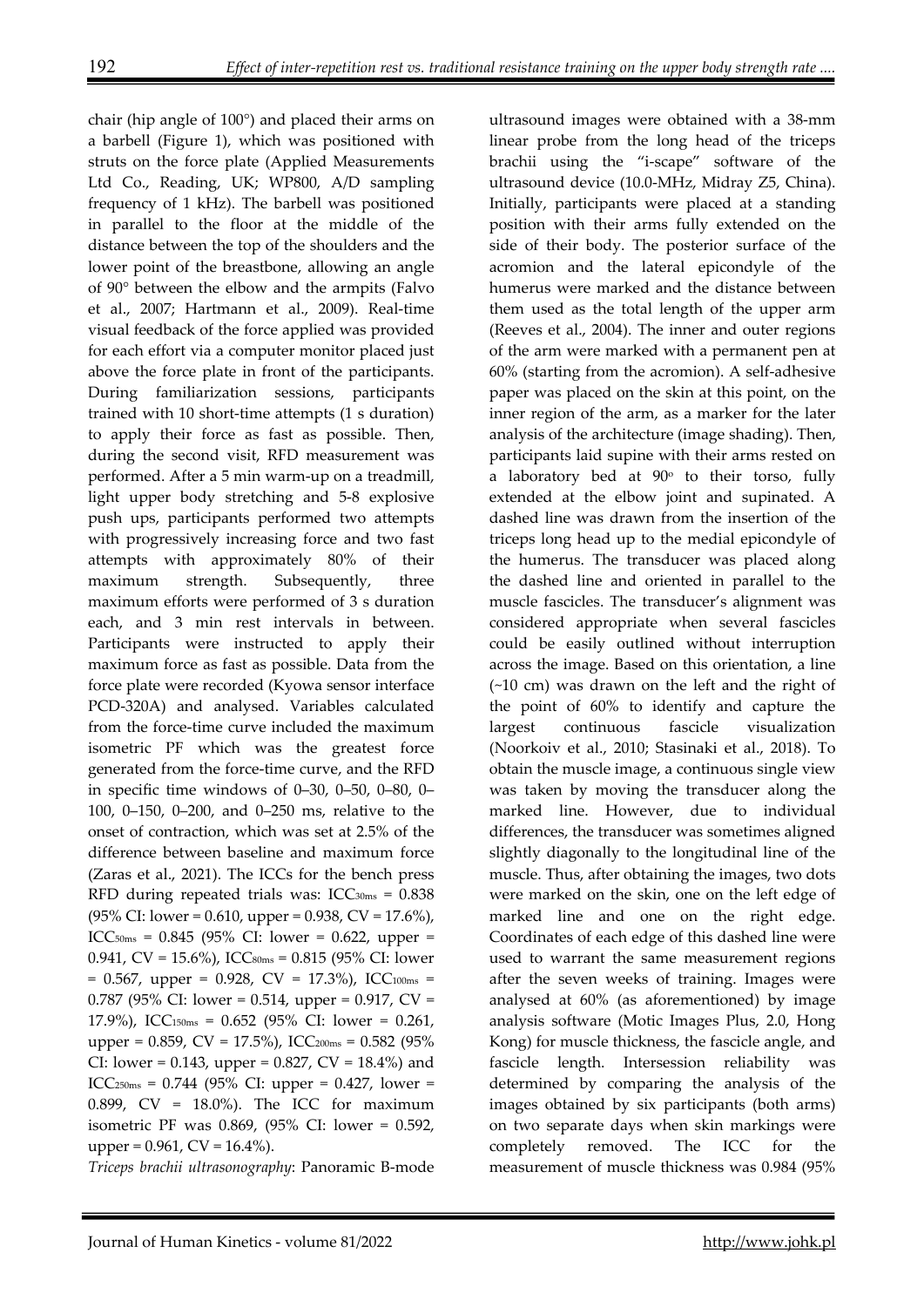chair (hip angle of 100°) and placed their arms on a barbell (Figure 1), which was positioned with struts on the force plate (Applied Measurements Ltd Co., Reading, UK; WP800, A/D sampling frequency of 1 kHz). The barbell was positioned in parallel to the floor at the middle of the distance between the top of the shoulders and the lower point of the breastbone, allowing an angle of 90° between the elbow and the armpits (Falvo et al., 2007; Hartmann et al., 2009). Real-time visual feedback of the force applied was provided for each effort via a computer monitor placed just above the force plate in front of the participants. During familiarization sessions, participants trained with 10 short-time attempts (1 s duration) to apply their force as fast as possible. Then, during the second visit, RFD measurement was performed. After a 5 min warm-up on a treadmill, light upper body stretching and 5-8 explosive push ups, participants performed two attempts with progressively increasing force and two fast attempts with approximately 80% of their maximum strength. Subsequently, three maximum efforts were performed of 3 s duration each, and 3 min rest intervals in between. Participants were instructed to apply their maximum force as fast as possible. Data from the force plate were recorded (Kyowa sensor interface PCD-320A) and analysed. Variables calculated from the force-time curve included the maximum isometric PF which was the greatest force generated from the force-time curve, and the RFD in specific time windows of 0–30, 0–50, 0–80, 0– 100, 0–150, 0–200, and 0–250 ms, relative to the onset of contraction, which was set at 2.5% of the difference between baseline and maximum force (Zaras et al., 2021). The ICCs for the bench press RFD during repeated trials was:  $ICC<sub>30ms</sub> = 0.838$  $(95\% \text{ CI: lower} = 0.610, \text{ upper} = 0.938, \text{ CV} = 17.6\%).$ ICC<sub>50ms</sub> =  $0.845$  (95% CI: lower = 0.622, upper = 0.941, CV =  $15.6\%$ ), ICCs oms = 0.815 (95% CI: lower  $= 0.567$ , upper  $= 0.928$ , CV  $= 17.3\%$ ), ICC<sub>100ms</sub>  $=$ 0.787 (95% CI: lower = 0.514, upper = 0.917,  $CV =$ 17.9%), ICC150ms = 0.652 (95% CI: lower = 0.261, upper = 0.859, CV = 17.5%), ICC<sub>200ms</sub> = 0.582 (95%) CI: lower = 0.143, upper = 0.827,  $CV = 18.4\%$ ) and ICC<sub>250ms</sub> =  $0.744$  (95% CI: upper = 0.427, lower = 0.899, CV = 18.0%). The ICC for maximum isometric PF was 0.869, (95% CI: lower = 0.592, upper =  $0.961$ , CV =  $16.4\%$ ).

*Triceps brachii ultrasonography*: Panoramic B-mode

ultrasound images were obtained with a 38-mm linear probe from the long head of the triceps brachii using the "i-scape" software of the ultrasound device (10.0-MHz, Midray Z5, China). Initially, participants were placed at a standing position with their arms fully extended on the side of their body. The posterior surface of the acromion and the lateral epicondyle of the humerus were marked and the distance between them used as the total length of the upper arm (Reeves et al., 2004). The inner and outer regions of the arm were marked with a permanent pen at 60% (starting from the acromion). A self-adhesive paper was placed on the skin at this point, on the inner region of the arm, as a marker for the later analysis of the architecture (image shading). Then, participants laid supine with their arms rested on a laboratory bed at  $90^\circ$  to their torso, fully extended at the elbow joint and supinated. A dashed line was drawn from the insertion of the triceps long head up to the medial epicondyle of the humerus. The transducer was placed along the dashed line and oriented in parallel to the muscle fascicles. The transducer's alignment was considered appropriate when several fascicles could be easily outlined without interruption across the image. Based on this orientation, a line (~10 cm) was drawn on the left and the right of the point of 60% to identify and capture the largest continuous fascicle visualization (Noorkoiv et al., 2010; Stasinaki et al., 2018). To obtain the muscle image, a continuous single view was taken by moving the transducer along the marked line. However, due to individual differences, the transducer was sometimes aligned slightly diagonally to the longitudinal line of the muscle. Thus, after obtaining the images, two dots were marked on the skin, one on the left edge of marked line and one on the right edge. Coordinates of each edge of this dashed line were used to warrant the same measurement regions after the seven weeks of training. Images were analysed at 60% (as aforementioned) by image analysis software (Motic Images Plus, 2.0, Hong Kong) for muscle thickness, the fascicle angle, and fascicle length. Intersession reliability was determined by comparing the analysis of the images obtained by six participants (both arms) on two separate days when skin markings were completely removed. The ICC for the measurement of muscle thickness was 0.984 (95%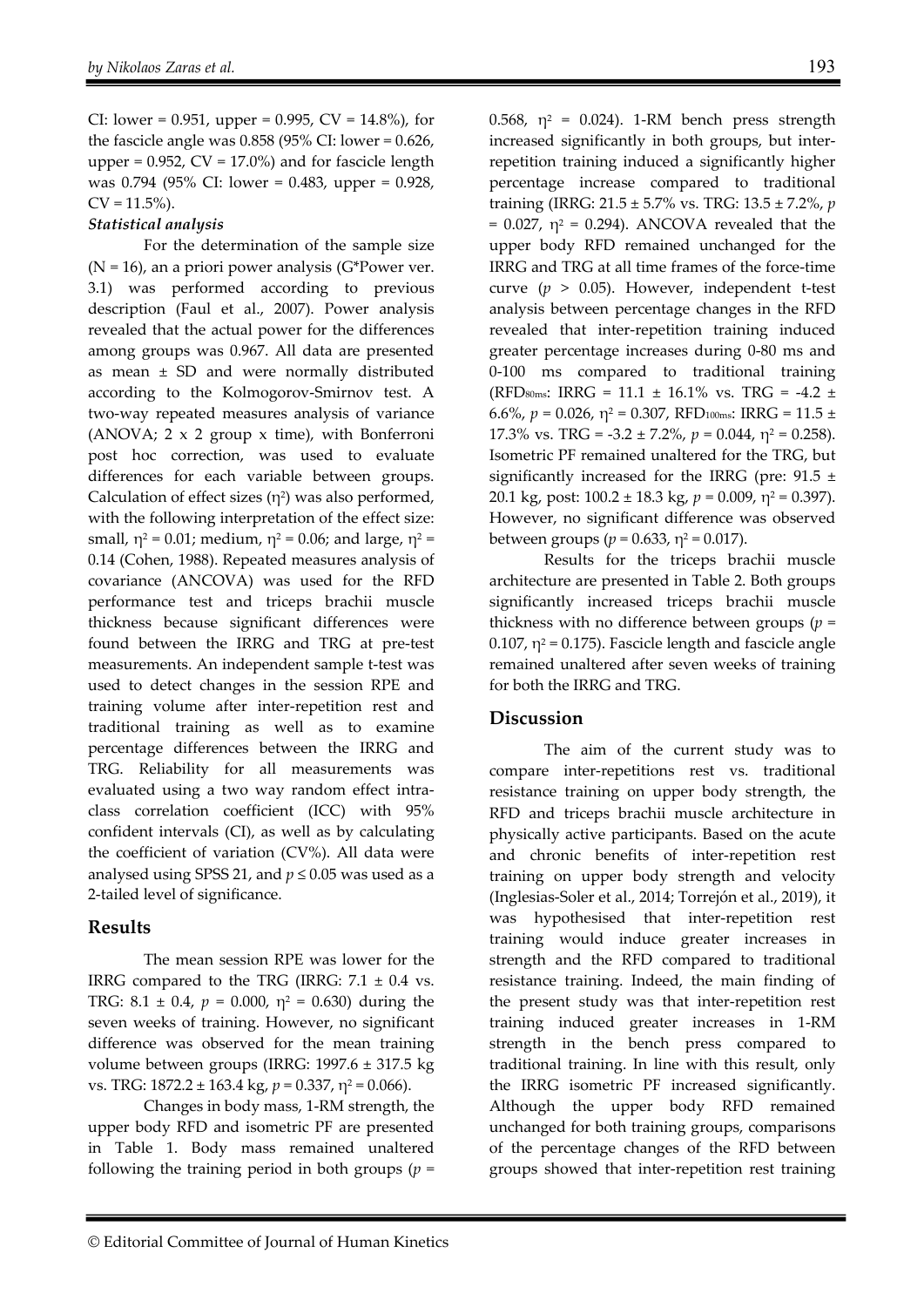CI: lower = 0.951, upper = 0.995,  $CV = 14.8\%$ ), for the fascicle angle was  $0.858$  (95% CI: lower =  $0.626$ , upper =  $0.952$ ,  $CV = 17.0%$  and for fascicle length was 0.794 (95% CI: lower = 0.483, upper = 0.928,  $CV = 11.5\%$ ).

#### *Statistical analysis*

For the determination of the sample size  $(N = 16)$ , an a priori power analysis (G\*Power ver. 3.1) was performed according to previous description (Faul et al., 2007). Power analysis revealed that the actual power for the differences among groups was 0.967. All data are presented as mean  $\pm$  SD and were normally distributed according to the Kolmogorov-Smirnov test. A two-way repeated measures analysis of variance (ANOVA; 2 x 2 group x time), with Bonferroni post hoc correction, was used to evaluate differences for each variable between groups. Calculation of effect sizes  $(\eta^2)$  was also performed, with the following interpretation of the effect size: small,  $\eta^2 = 0.01$ ; medium,  $\eta^2 = 0.06$ ; and large,  $\eta^2 =$ 0.14 (Cohen, 1988). Repeated measures analysis of covariance (ANCOVA) was used for the RFD performance test and triceps brachii muscle thickness because significant differences were found between the IRRG and TRG at pre-test measurements. An independent sample t-test was used to detect changes in the session RPE and training volume after inter-repetition rest and traditional training as well as to examine percentage differences between the IRRG and TRG. Reliability for all measurements was evaluated using a two way random effect intraclass correlation coefficient (ICC) with 95% confident intervals (CI), as well as by calculating the coefficient of variation (CV%). All data were analysed using SPSS 21, and  $p \le 0.05$  was used as a 2-tailed level of significance.

#### **Results**

The mean session RPE was lower for the IRRG compared to the TRG (IRRG:  $7.1 \pm 0.4$  vs. TRG:  $8.1 \pm 0.4$ ,  $p = 0.000$ ,  $\eta^2 = 0.630$ ) during the seven weeks of training. However, no significant difference was observed for the mean training volume between groups (IRRG: 1997.6 ± 317.5 kg vs. TRG: 1872.2 ± 163.4 kg, *p* = 0.337, η2 = 0.066).

Changes in body mass, 1-RM strength, the upper body RFD and isometric PF are presented in Table 1. Body mass remained unaltered following the training period in both groups  $(p =$ 

0.568,  $\eta^2$  = 0.024). 1-RM bench press strength increased significantly in both groups, but interrepetition training induced a significantly higher percentage increase compared to traditional training (IRRG: 21.5 ± 5.7% vs. TRG: 13.5 ± 7.2%, *p*  $= 0.027$ ,  $\eta^2 = 0.294$ ). ANCOVA revealed that the upper body RFD remained unchanged for the IRRG and TRG at all time frames of the force-time curve (*p* > 0.05). However, independent t-test analysis between percentage changes in the RFD revealed that inter-repetition training induced greater percentage increases during 0-80 ms and 0-100 ms compared to traditional training (RFD<sub>80ms</sub>: IRRG = 11.1  $\pm$  16.1% vs. TRG = -4.2  $\pm$ 6.6%,  $p = 0.026$ ,  $\eta^2 = 0.307$ , RFD<sub>100ms</sub>: IRRG = 11.5 ± 17.3% vs. TRG = -3.2  $\pm$  7.2%,  $p = 0.044$ ,  $\eta^2 = 0.258$ ). Isometric PF remained unaltered for the TRG, but significantly increased for the IRRG (pre:  $91.5 \pm$ 20.1 kg, post: 100.2 ± 18.3 kg, *p* = 0.009, η2 = 0.397). However, no significant difference was observed between groups ( $p = 0.633$ ,  $\eta^2 = 0.017$ ).

Results for the triceps brachii muscle architecture are presented in Table 2. Both groups significantly increased triceps brachii muscle thickness with no difference between groups (*p* = 0.107,  $\eta^2$  = 0.175). Fascicle length and fascicle angle remained unaltered after seven weeks of training for both the IRRG and TRG.

#### **Discussion**

The aim of the current study was to compare inter-repetitions rest vs. traditional resistance training on upper body strength, the RFD and triceps brachii muscle architecture in physically active participants. Based on the acute and chronic benefits of inter-repetition rest training on upper body strength and velocity (Inglesias-Soler et al., 2014; Torrejón et al., 2019), it was hypothesised that inter-repetition rest training would induce greater increases in strength and the RFD compared to traditional resistance training. Indeed, the main finding of the present study was that inter-repetition rest training induced greater increases in 1-RM strength in the bench press compared to traditional training. In line with this result, only the IRRG isometric PF increased significantly. Although the upper body RFD remained unchanged for both training groups, comparisons of the percentage changes of the RFD between groups showed that inter-repetition rest training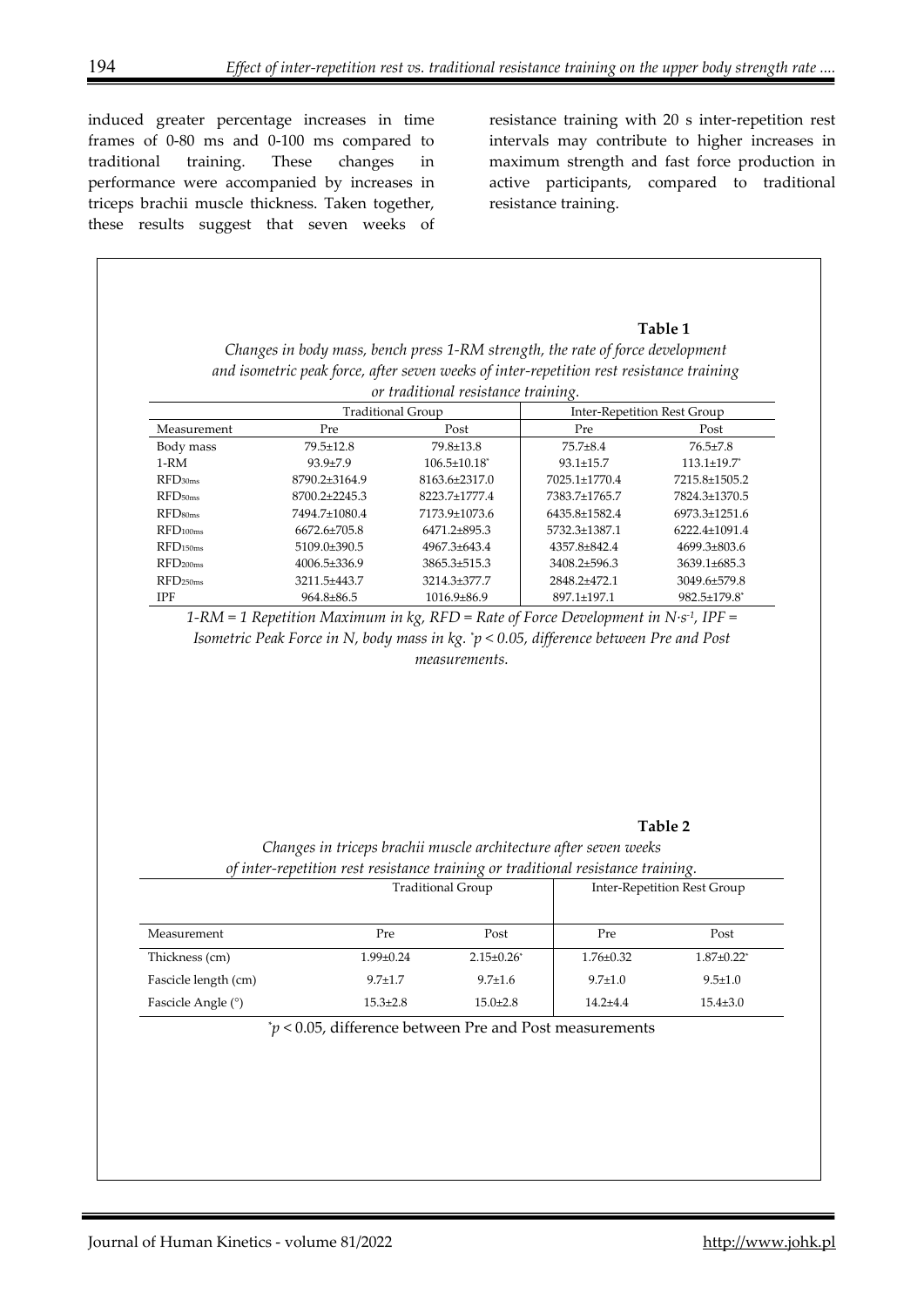induced greater percentage increases in time frames of 0-80 ms and 0-100 ms compared to traditional training. These changes in performance were accompanied by increases in triceps brachii muscle thickness. Taken together, these results suggest that seven weeks of resistance training with 20 s inter-repetition rest intervals may contribute to higher increases in maximum strength and fast force production in active participants, compared to traditional resistance training.

# **Table 1** *Changes in body mass, bench press 1-RM strength, the rate of force development and isometric peak force, after seven weeks of inter-repetition rest resistance training or traditional resistance training.* Inter-Repetition Rest Group Measurement Pre Post Post Pre Post Pre Post Body mass 79.5±12.8 79.8±13.8 75.7±8.4 76.5±7.8 1-RM 93.9±7.9 106.5±10.18\* 93.1±15.7 113.1±19.7\* RFD30ms 8790.2±3164.9 8163.6±2317.0 7025.1±1770.4 7215.8±1505.2 RFD50ms 8700.2±2245.3 8223.7±1777.4 7383.7±1765.7 7824.3±1370.5 RFD<sub>80ms</sub> 7494.7±1080.4 7173.9±1073.6 6435.8±1582.4 6973.3±1251.6 RFD<sub>100ms</sub> 6672.6±705.8 6471.2±895.3 5732.3±1387.1 6222.4±1091.4 RFD<sub>150ms</sub> 5109.0±390.5 4967.3±643.4 4357.8±842.4 4699.3±803.6 RFD<sub>200ms</sub> 4006.5±336.9 3865.3±515.3 3408.2±596.3 3639.1±685.3 RFD250ms 3211.5±443.7 3214.3±377.7 2848.2±472.1 3049.6±579.8 IPF 964.8±86.5 1016.9±86.9 897.1±197.1 982.5±179.8\* *1-RM = 1 Repetition Maximum in kg, RFD = Rate of Force Development in N·s-1, IPF = Isometric Peak Force in N, body mass in kg. \* p < 0.05, difference between Pre and Post measurements.*  **Table 2**  *Changes in triceps brachii muscle architecture after seven weeks of inter-repetition rest resistance training or traditional resistance training.* Traditional Group **Inter-Repetition Rest Group** Measurement Pre Post Pre Post Pre Post Pre Thickness (cm) 1.99±0.24 2.15±0.26\* 1.76±0.32 1.87±0.22\*

\* *p* < 0.05, difference between Pre and Post measurements

Fascicle length (cm) 9.7±1.7 9.7±1.6 9.7±1.0 9.5±1.0 9.5±1.0 Fascicle Angle (°) 15.3±2.8 15.0±2.8 14.2±4.4 15.4±3.0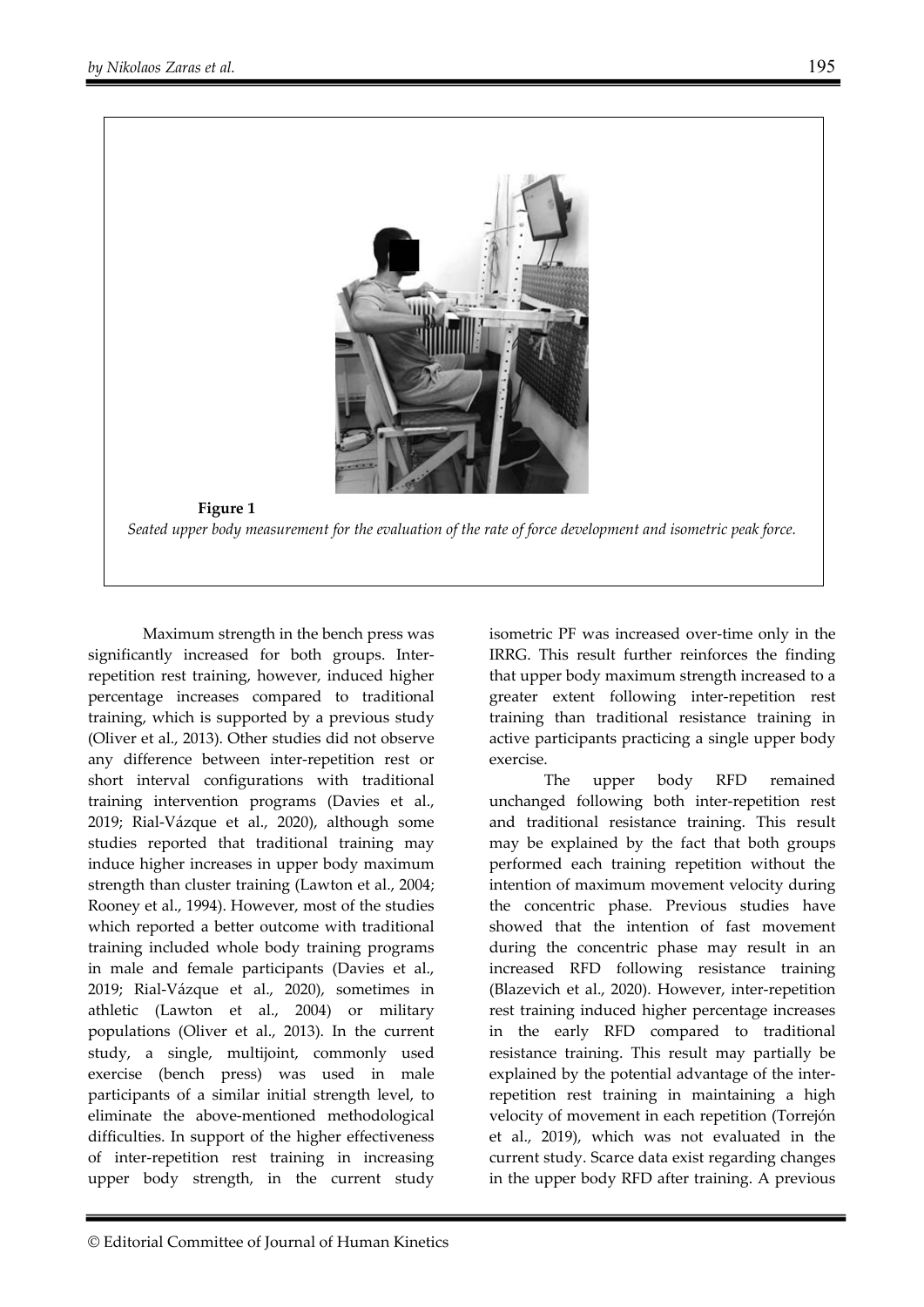



Maximum strength in the bench press was significantly increased for both groups. Interrepetition rest training, however, induced higher percentage increases compared to traditional training, which is supported by a previous study (Oliver et al., 2013). Other studies did not observe any difference between inter-repetition rest or short interval configurations with traditional training intervention programs (Davies et al., 2019; Rial-Vázque et al., 2020), although some studies reported that traditional training may induce higher increases in upper body maximum strength than cluster training (Lawton et al., 2004; Rooney et al., 1994). However, most of the studies which reported a better outcome with traditional training included whole body training programs in male and female participants (Davies et al., 2019; Rial-Vázque et al., 2020), sometimes in athletic (Lawton et al., 2004) or military populations (Oliver et al., 2013). In the current study, a single, multijoint, commonly used exercise (bench press) was used in male participants of a similar initial strength level, to eliminate the above-mentioned methodological difficulties. In support of the higher effectiveness of inter-repetition rest training in increasing upper body strength, in the current study

isometric PF was increased over-time only in the IRRG. This result further reinforces the finding that upper body maximum strength increased to a greater extent following inter-repetition rest training than traditional resistance training in active participants practicing a single upper body exercise.

The upper body RFD remained unchanged following both inter-repetition rest and traditional resistance training. This result may be explained by the fact that both groups performed each training repetition without the intention of maximum movement velocity during the concentric phase. Previous studies have showed that the intention of fast movement during the concentric phase may result in an increased RFD following resistance training (Blazevich et al., 2020). However, inter-repetition rest training induced higher percentage increases in the early RFD compared to traditional resistance training. This result may partially be explained by the potential advantage of the interrepetition rest training in maintaining a high velocity of movement in each repetition (Torrejón et al., 2019), which was not evaluated in the current study. Scarce data exist regarding changes in the upper body RFD after training. A previous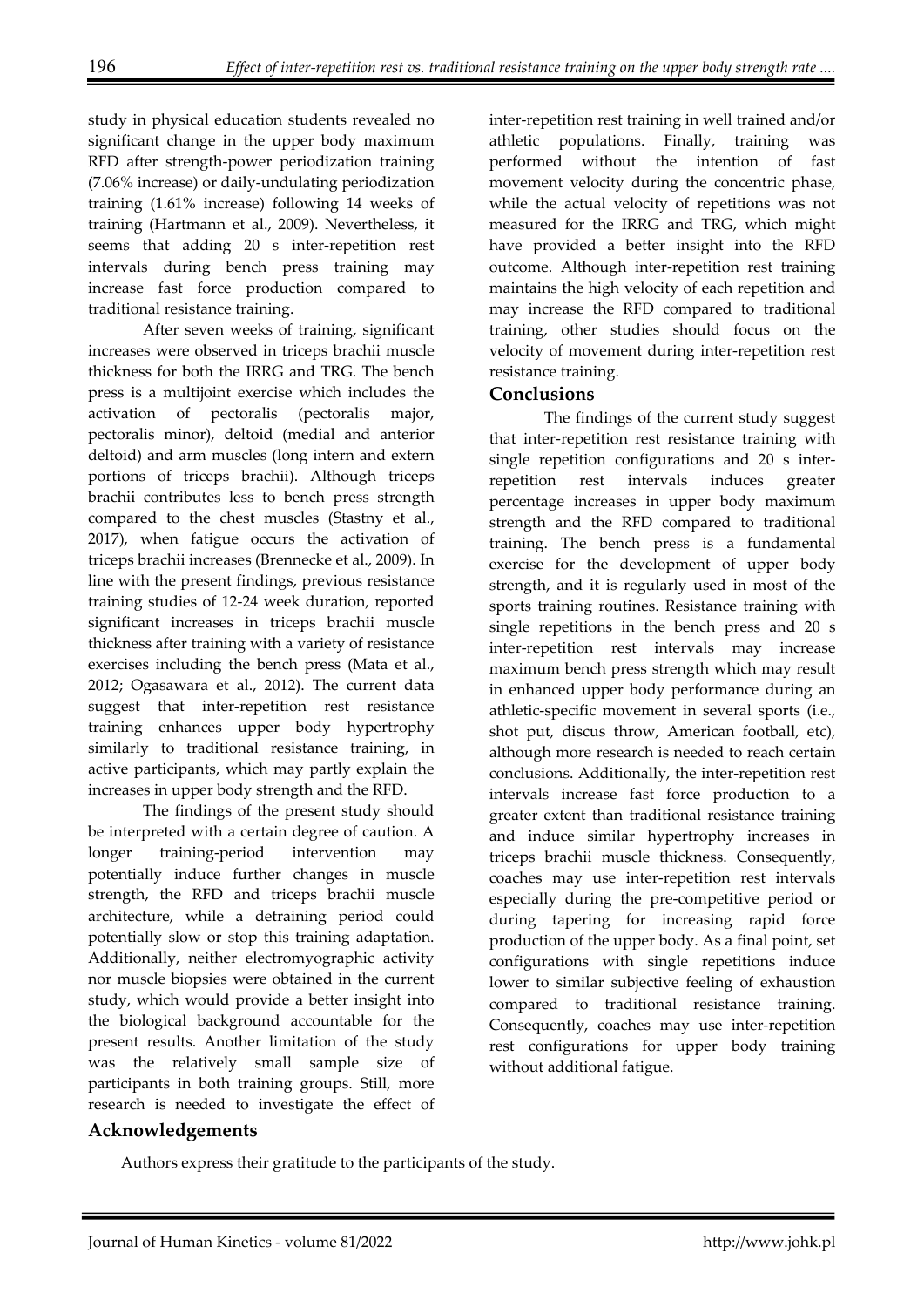study in physical education students revealed no significant change in the upper body maximum RFD after strength-power periodization training (7.06% increase) or daily-undulating periodization training (1.61% increase) following 14 weeks of training (Hartmann et al., 2009). Nevertheless, it seems that adding 20 s inter-repetition rest intervals during bench press training may increase fast force production compared to traditional resistance training.

After seven weeks of training, significant increases were observed in triceps brachii muscle thickness for both the IRRG and TRG. The bench press is a multijoint exercise which includes the activation of pectoralis (pectoralis major, pectoralis minor), deltoid (medial and anterior deltoid) and arm muscles (long intern and extern portions of triceps brachii). Although triceps brachii contributes less to bench press strength compared to the chest muscles (Stastny et al., 2017), when fatigue occurs the activation of triceps brachii increases (Brennecke et al., 2009). In line with the present findings, previous resistance training studies of 12-24 week duration, reported significant increases in triceps brachii muscle thickness after training with a variety of resistance exercises including the bench press (Mata et al., 2012; Ogasawara et al., 2012). The current data suggest that inter-repetition rest resistance training enhances upper body hypertrophy similarly to traditional resistance training, in active participants, which may partly explain the increases in upper body strength and the RFD.

The findings of the present study should be interpreted with a certain degree of caution. A longer training-period intervention may potentially induce further changes in muscle strength, the RFD and triceps brachii muscle architecture, while a detraining period could potentially slow or stop this training adaptation. Additionally, neither electromyographic activity nor muscle biopsies were obtained in the current study, which would provide a better insight into the biological background accountable for the present results. Another limitation of the study was the relatively small sample size of participants in both training groups. Still, more research is needed to investigate the effect of

inter-repetition rest training in well trained and/or athletic populations. Finally, training was performed without the intention of fast movement velocity during the concentric phase, while the actual velocity of repetitions was not measured for the IRRG and TRG, which might have provided a better insight into the RFD outcome. Although inter-repetition rest training maintains the high velocity of each repetition and may increase the RFD compared to traditional training, other studies should focus on the velocity of movement during inter-repetition rest resistance training.

### **Conclusions**

The findings of the current study suggest that inter-repetition rest resistance training with single repetition configurations and 20 s interrepetition rest intervals induces greater percentage increases in upper body maximum strength and the RFD compared to traditional training. The bench press is a fundamental exercise for the development of upper body strength, and it is regularly used in most of the sports training routines. Resistance training with single repetitions in the bench press and 20 s inter-repetition rest intervals may increase maximum bench press strength which may result in enhanced upper body performance during an athletic-specific movement in several sports (i.e., shot put, discus throw, American football, etc), although more research is needed to reach certain conclusions. Additionally, the inter-repetition rest intervals increase fast force production to a greater extent than traditional resistance training and induce similar hypertrophy increases in triceps brachii muscle thickness. Consequently, coaches may use inter-repetition rest intervals especially during the pre-competitive period or during tapering for increasing rapid force production of the upper body. As a final point, set configurations with single repetitions induce lower to similar subjective feeling of exhaustion compared to traditional resistance training. Consequently, coaches may use inter-repetition rest configurations for upper body training without additional fatigue.

## **Acknowledgements**

Authors express their gratitude to the participants of the study.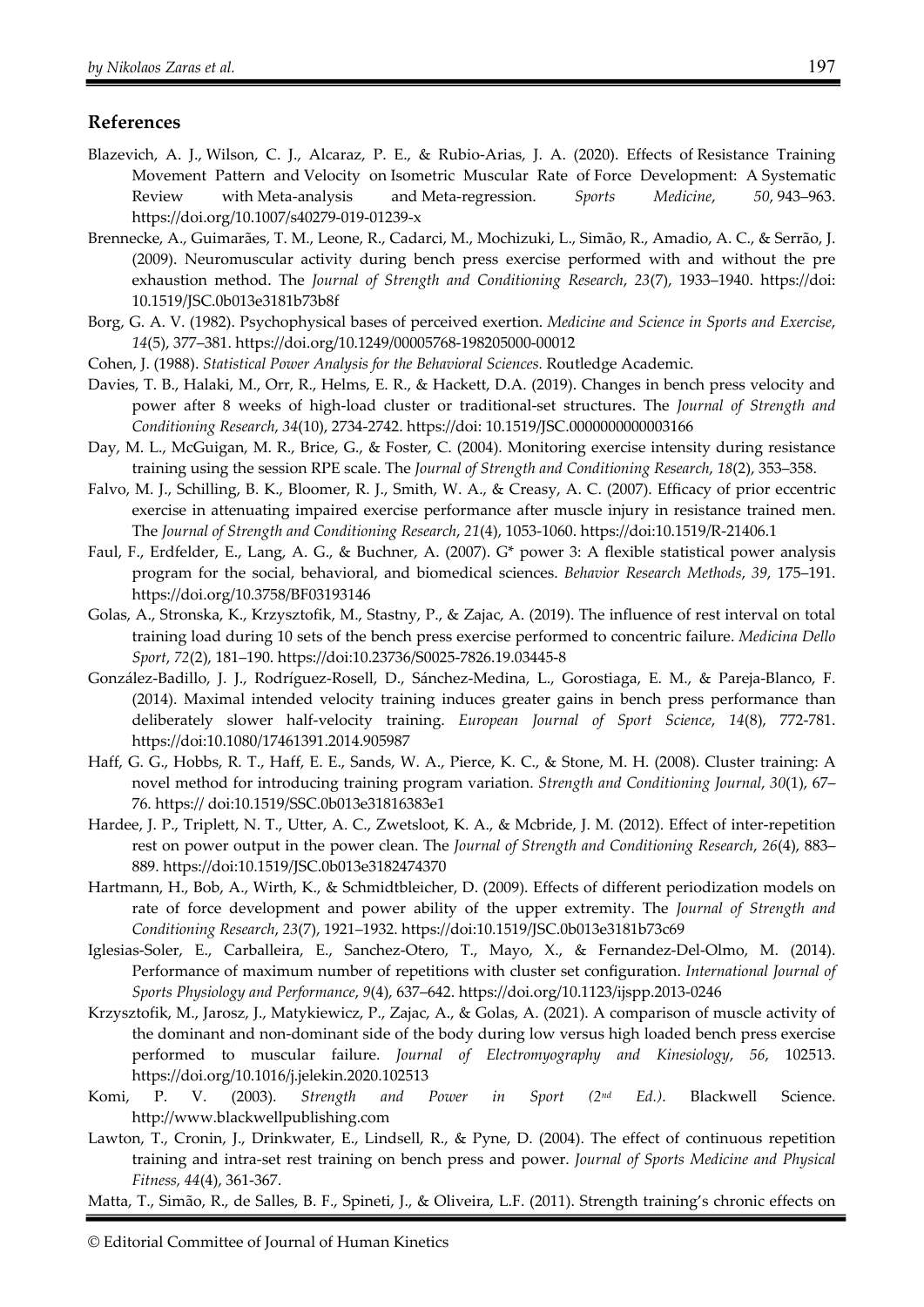#### **References**

- Blazevich, A. J., Wilson, C. J., Alcaraz, P. E., & Rubio-Arias, J. A. (2020). Effects of Resistance Training Movement Pattern and Velocity on Isometric Muscular Rate of Force Development: A Systematic Review with Meta-analysis and Meta-regression. *Sports Medicine*, *50*, 943–963. https://doi.org/10.1007/s40279-019-01239-x
- Brennecke, A., Guimarães, T. M., Leone, R., Cadarci, M., Mochizuki, L., Simão, R., Amadio, A. C., & Serrão, J. (2009). Neuromuscular activity during bench press exercise performed with and without the pre exhaustion method. The *Journal of Strength and Conditioning Research*, *23*(7), 1933–1940. https://doi: 10.1519/JSC.0b013e3181b73b8f
- Borg, G. A. V. (1982). Psychophysical bases of perceived exertion. *Medicine and Science in Sports and Exercise*, *14*(5), 377–381. https://doi.org/10.1249/00005768-198205000-00012
- Cohen, J. (1988). *Statistical Power Analysis for the Behavioral Sciences.* Routledge Academic.
- Davies, T. B., Halaki, M., Orr, R., Helms, E. R., & Hackett, D.A. (2019). Changes in bench press velocity and power after 8 weeks of high-load cluster or traditional-set structures. The *Journal of Strength and Conditioning Research*, *34*(10), 2734-2742. https://doi: 10.1519/JSC.0000000000003166
- Day, M. L., McGuigan, M. R., Brice, G., & Foster, C. (2004). Monitoring exercise intensity during resistance training using the session RPE scale. The *Journal of Strength and Conditioning Research*, *18*(2), 353–358.
- Falvo, M. J., Schilling, B. K., Bloomer, R. J., Smith, W. A., & Creasy, A. C. (2007). Efficacy of prior eccentric exercise in attenuating impaired exercise performance after muscle injury in resistance trained men. The *Journal of Strength and Conditioning Research*, *21*(4), 1053-1060. https://doi:10.1519/R-21406.1
- Faul, F., Erdfelder, E., Lang, A. G., & Buchner, A. (2007). G\* power 3: A flexible statistical power analysis program for the social, behavioral, and biomedical sciences. *Behavior Research Methods*, *39*, 175–191. https://doi.org/10.3758/BF03193146
- Golas, A., Stronska, K., Krzysztofik, M., Stastny, P., & Zajac, A. (2019). The influence of rest interval on total training load during 10 sets of the bench press exercise performed to concentric failure. *Medicina Dello Sport*, *72*(2), 181–190. https://doi:10.23736/S0025-7826.19.03445-8
- González-Badillo, J. J., Rodríguez-Rosell, D., Sánchez-Medina, L., Gorostiaga, E. M., & Pareja-Blanco, F. (2014). Maximal intended velocity training induces greater gains in bench press performance than deliberately slower half-velocity training. *European Journal of Sport Science*, *14*(8), 772-781. https://doi:10.1080/17461391.2014.905987
- Haff, G. G., Hobbs, R. T., Haff, E. E., Sands, W. A., Pierce, K. C., & Stone, M. H. (2008). Cluster training: A novel method for introducing training program variation. *Strength and Conditioning Journal*, *30*(1), 67– 76. https:// doi:10.1519/SSC.0b013e31816383e1
- Hardee, J. P., Triplett, N. T., Utter, A. C., Zwetsloot, K. A., & Mcbride, J. M. (2012). Effect of inter-repetition rest on power output in the power clean. The *Journal of Strength and Conditioning Research*, *26*(4), 883– 889. https://doi:10.1519/JSC.0b013e3182474370
- Hartmann, H., Bob, A., Wirth, K., & Schmidtbleicher, D. (2009). Effects of different periodization models on rate of force development and power ability of the upper extremity. The *Journal of Strength and Conditioning Research*, *23*(7), 1921–1932. https://doi:10.1519/JSC.0b013e3181b73c69
- Iglesias-Soler, E., Carballeira, E., Sanchez-Otero, T., Mayo, X., & Fernandez-Del-Olmo, M. (2014). Performance of maximum number of repetitions with cluster set configuration. *International Journal of Sports Physiology and Performance*, *9*(4), 637–642. https://doi.org/10.1123/ijspp.2013-0246
- Krzysztofik, M., Jarosz, J., Matykiewicz, P., Zajac, A., & Golas, A. (2021). A comparison of muscle activity of the dominant and non-dominant side of the body during low versus high loaded bench press exercise performed to muscular failure. *Journal of Electromyography and Kinesiology*, *56*, 102513. https://doi.org/10.1016/j.jelekin.2020.102513
- Komi, P. V. (2003). *Strength and Power in Sport (2nd Ed.)*. Blackwell Science. http://www.blackwellpublishing.com
- Lawton, T., Cronin, J., Drinkwater, E., Lindsell, R., & Pyne, D. (2004). The effect of continuous repetition training and intra-set rest training on bench press and power. *Journal of Sports Medicine and Physical Fitness, 44*(4), 361-367.

Matta, T., Simão, R., de Salles, B. F., Spineti, J., & Oliveira, L.F. (2011). Strength training's chronic effects on